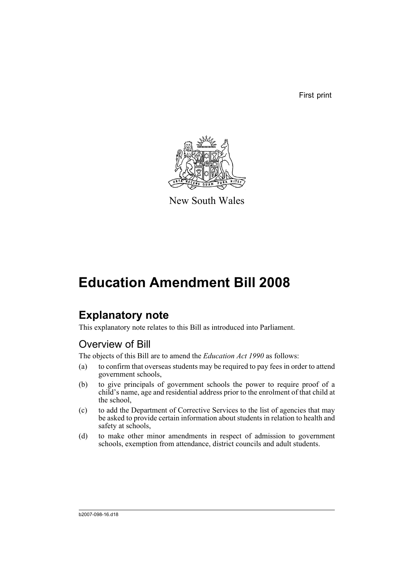First print



New South Wales

# **Education Amendment Bill 2008**

## **Explanatory note**

This explanatory note relates to this Bill as introduced into Parliament.

## Overview of Bill

The objects of this Bill are to amend the *Education Act 1990* as follows:

- (a) to confirm that overseas students may be required to pay fees in order to attend government schools,
- (b) to give principals of government schools the power to require proof of a child's name, age and residential address prior to the enrolment of that child at the school,
- (c) to add the Department of Corrective Services to the list of agencies that may be asked to provide certain information about students in relation to health and safety at schools,
- (d) to make other minor amendments in respect of admission to government schools, exemption from attendance, district councils and adult students.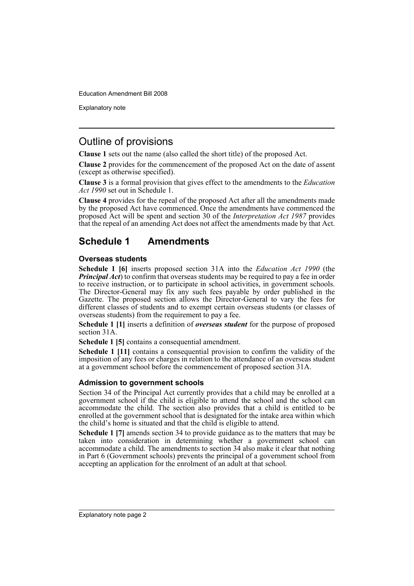Explanatory note

## Outline of provisions

**Clause 1** sets out the name (also called the short title) of the proposed Act.

**Clause 2** provides for the commencement of the proposed Act on the date of assent (except as otherwise specified).

**Clause 3** is a formal provision that gives effect to the amendments to the *Education Act 1990* set out in Schedule 1.

**Clause 4** provides for the repeal of the proposed Act after all the amendments made by the proposed Act have commenced. Once the amendments have commenced the proposed Act will be spent and section 30 of the *Interpretation Act 1987* provides that the repeal of an amending Act does not affect the amendments made by that Act.

## **Schedule 1 Amendments**

### **Overseas students**

**Schedule 1 [6]** inserts proposed section 31A into the *Education Act 1990* (the *Principal Act*) to confirm that overseas students may be required to pay a fee in order to receive instruction, or to participate in school activities, in government schools. The Director-General may fix any such fees payable by order published in the Gazette. The proposed section allows the Director-General to vary the fees for different classes of students and to exempt certain overseas students (or classes of overseas students) from the requirement to pay a fee.

**Schedule 1 [1]** inserts a definition of *overseas student* for the purpose of proposed section 31A.

**Schedule 1 [5]** contains a consequential amendment.

**Schedule 1 [11]** contains a consequential provision to confirm the validity of the imposition of any fees or charges in relation to the attendance of an overseas student at a government school before the commencement of proposed section 31A.

### **Admission to government schools**

Section 34 of the Principal Act currently provides that a child may be enrolled at a government school if the child is eligible to attend the school and the school can accommodate the child. The section also provides that a child is entitled to be enrolled at the government school that is designated for the intake area within which the child's home is situated and that the child is eligible to attend.

**Schedule 1 [7]** amends section 34 to provide guidance as to the matters that may be taken into consideration in determining whether a government school can accommodate a child. The amendments to section 34 also make it clear that nothing in Part 6 (Government schools) prevents the principal of a government school from accepting an application for the enrolment of an adult at that school.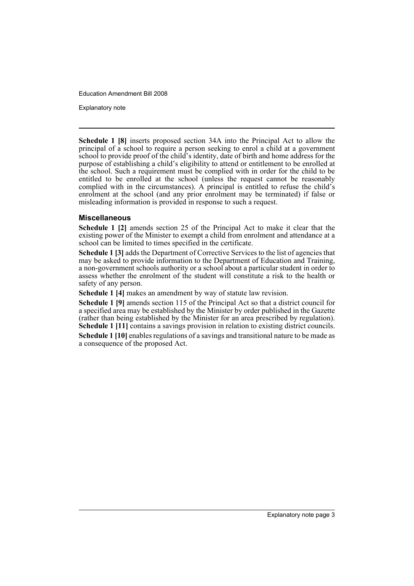Explanatory note

**Schedule 1 [8]** inserts proposed section 34A into the Principal Act to allow the principal of a school to require a person seeking to enrol a child at a government school to provide proof of the child's identity, date of birth and home address for the purpose of establishing a child's eligibility to attend or entitlement to be enrolled at the school. Such a requirement must be complied with in order for the child to be entitled to be enrolled at the school (unless the request cannot be reasonably complied with in the circumstances). A principal is entitled to refuse the child's enrolment at the school (and any prior enrolment may be terminated) if false or misleading information is provided in response to such a request.

### **Miscellaneous**

**Schedule 1 [2]** amends section 25 of the Principal Act to make it clear that the existing power of the Minister to exempt a child from enrolment and attendance at a school can be limited to times specified in the certificate.

**Schedule 1 [3]** adds the Department of Corrective Services to the list of agencies that may be asked to provide information to the Department of Education and Training, a non-government schools authority or a school about a particular student in order to assess whether the enrolment of the student will constitute a risk to the health or safety of any person.

**Schedule 1 [4]** makes an amendment by way of statute law revision.

**Schedule 1 [9]** amends section 115 of the Principal Act so that a district council for a specified area may be established by the Minister by order published in the Gazette (rather than being established by the Minister for an area prescribed by regulation). **Schedule 1 [11]** contains a savings provision in relation to existing district councils.

**Schedule 1 [10]** enables regulations of a savings and transitional nature to be made as a consequence of the proposed Act.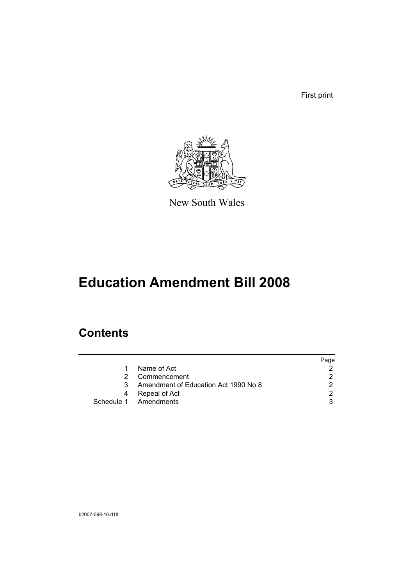First print



New South Wales

# **Education Amendment Bill 2008**

## **Contents**

|   |                                      | Page |
|---|--------------------------------------|------|
| 1 | Name of Act                          |      |
| 2 | Commencement                         |      |
| 3 | Amendment of Education Act 1990 No 8 | າ    |
| 4 | Repeal of Act                        | ◠    |
|   | Schedule 1 Amendments                |      |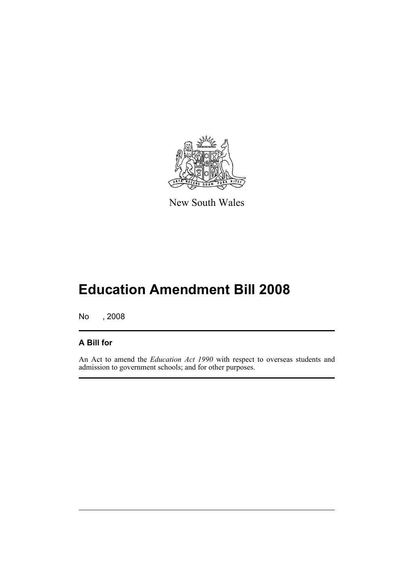

New South Wales

# **Education Amendment Bill 2008**

No , 2008

### **A Bill for**

An Act to amend the *Education Act 1990* with respect to overseas students and admission to government schools; and for other purposes.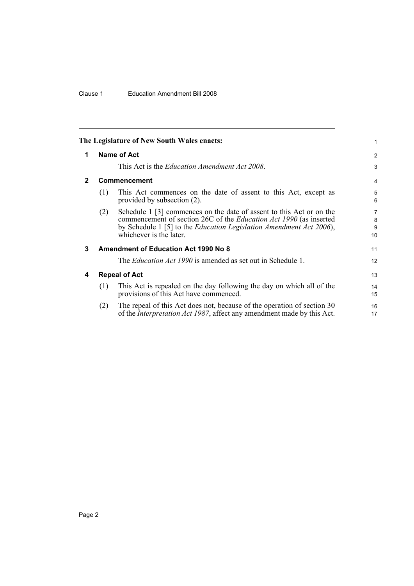<span id="page-7-3"></span><span id="page-7-2"></span><span id="page-7-1"></span><span id="page-7-0"></span>

| The Legislature of New South Wales enacts:<br>1 |                                      |                                                                                                                                                                                                                                                     |                                |  |  |  |
|-------------------------------------------------|--------------------------------------|-----------------------------------------------------------------------------------------------------------------------------------------------------------------------------------------------------------------------------------------------------|--------------------------------|--|--|--|
| 1                                               | Name of Act                          |                                                                                                                                                                                                                                                     |                                |  |  |  |
|                                                 |                                      | This Act is the <i>Education Amendment Act 2008</i> .                                                                                                                                                                                               | 3                              |  |  |  |
| $\mathbf{2}$                                    | <b>Commencement</b>                  |                                                                                                                                                                                                                                                     |                                |  |  |  |
|                                                 | (1)                                  | This Act commences on the date of assent to this Act, except as<br>provided by subsection $(2)$ .                                                                                                                                                   | 5<br>6                         |  |  |  |
|                                                 | (2)                                  | Schedule 1 [3] commences on the date of assent to this Act or on the<br>commencement of section 26C of the <i>Education Act 1990</i> (as inserted<br>by Schedule 1 [5] to the Education Legislation Amendment Act 2006),<br>whichever is the later. | $\overline{7}$<br>8<br>9<br>10 |  |  |  |
| 3                                               | Amendment of Education Act 1990 No 8 |                                                                                                                                                                                                                                                     |                                |  |  |  |
|                                                 |                                      | The <i>Education Act 1990</i> is amended as set out in Schedule 1.                                                                                                                                                                                  | 12 <sup>2</sup>                |  |  |  |
| 4                                               | <b>Repeal of Act</b>                 |                                                                                                                                                                                                                                                     |                                |  |  |  |
|                                                 | (1)                                  | This Act is repealed on the day following the day on which all of the<br>provisions of this Act have commenced.                                                                                                                                     | 14<br>15                       |  |  |  |
|                                                 | (2)                                  | The repeal of this Act does not, because of the operation of section 30<br>of the <i>Interpretation Act 1987</i> , affect any amendment made by this Act.                                                                                           | 16<br>17                       |  |  |  |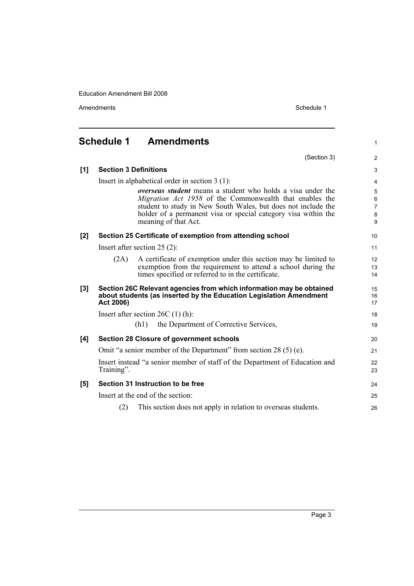Amendments **Schedule 1** and the set of the set of the set of the set of the set of the set of the set of the set of the set of the set of the set of the set of the set of the set of the set of the set of the set of the set

1

24 25 26

### <span id="page-8-0"></span>**Schedule 1 Amendments** (Section 3) **[1] Section 3 Definitions** Insert in alphabetical order in section 3 (1): *overseas student* means a student who holds a visa under the *Migration Act 1958* of the Commonwealth that enables the student to study in New South Wales, but does not include the holder of a permanent visa or special category visa within the meaning of that Act. **[2] Section 25 Certificate of exemption from attending school** Insert after section 25 (2): (2A) A certificate of exemption under this section may be limited to exemption from the requirement to attend a school during the times specified or referred to in the certificate. **[3] Section 26C Relevant agencies from which information may be obtained about students (as inserted by the Education Legislation Amendment Act 2006)** Insert after section 26C (1) (h): (h1) the Department of Corrective Services, **[4] Section 28 Closure of government schools** Omit "a senior member of the Department" from section 28 (5) (e). Insert instead "a senior member of staff of the Department of Education and Training". **[5] Section 31 Instruction to be free** Insert at the end of the section:

(2) This section does not apply in relation to overseas students.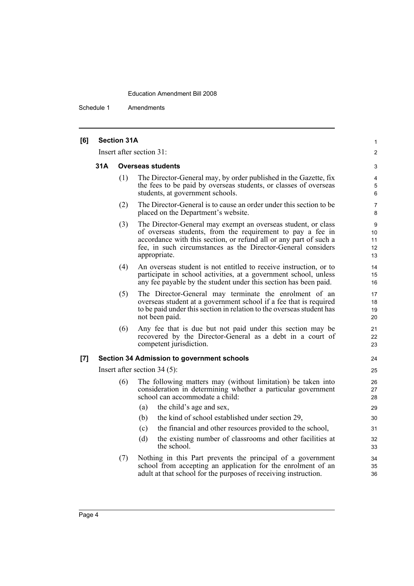Schedule 1 Amendments

| [6] |                          | <b>Section 31A</b> |                                                                                                                                                                                                                                                                                  | $\mathbf{1}$              |
|-----|--------------------------|--------------------|----------------------------------------------------------------------------------------------------------------------------------------------------------------------------------------------------------------------------------------------------------------------------------|---------------------------|
|     | Insert after section 31: |                    |                                                                                                                                                                                                                                                                                  |                           |
|     | 31A                      |                    | <b>Overseas students</b>                                                                                                                                                                                                                                                         | 3                         |
|     |                          | (1)                | The Director-General may, by order published in the Gazette, fix<br>the fees to be paid by overseas students, or classes of overseas<br>students, at government schools.                                                                                                         | 4<br>5<br>6               |
|     |                          | (2)                | The Director-General is to cause an order under this section to be<br>placed on the Department's website.                                                                                                                                                                        | 7<br>8                    |
|     |                          | (3)                | The Director-General may exempt an overseas student, or class<br>of overseas students, from the requirement to pay a fee in<br>accordance with this section, or refund all or any part of such a<br>fee, in such circumstances as the Director-General considers<br>appropriate. | 9<br>10<br>11<br>12<br>13 |
|     |                          | (4)                | An overseas student is not entitled to receive instruction, or to<br>participate in school activities, at a government school, unless<br>any fee payable by the student under this section has been paid.                                                                        | 14<br>15<br>16            |
|     |                          | (5)                | The Director-General may terminate the enrolment of an<br>overseas student at a government school if a fee that is required<br>to be paid under this section in relation to the overseas student has<br>not been paid.                                                           | 17<br>18<br>19<br>20      |
|     |                          | (6)                | Any fee that is due but not paid under this section may be<br>recovered by the Director-General as a debt in a court of<br>competent jurisdiction.                                                                                                                               | 21<br>22<br>23            |
| [7] |                          |                    | <b>Section 34 Admission to government schools</b>                                                                                                                                                                                                                                | 24                        |
|     |                          |                    | Insert after section $34(5)$ :                                                                                                                                                                                                                                                   | 25                        |
|     |                          | (6)                | The following matters may (without limitation) be taken into<br>consideration in determining whether a particular government<br>school can accommodate a child:                                                                                                                  | 26<br>27<br>28            |
|     |                          |                    | the child's age and sex,<br>(a)                                                                                                                                                                                                                                                  | 29                        |
|     |                          |                    | the kind of school established under section 29,<br>(b)                                                                                                                                                                                                                          | 30                        |
|     |                          |                    | (c)<br>the financial and other resources provided to the school,                                                                                                                                                                                                                 | 31                        |
|     |                          |                    | (d)<br>the existing number of classrooms and other facilities at<br>the school.                                                                                                                                                                                                  | 32<br>33                  |
|     |                          | (7)                | Nothing in this Part prevents the principal of a government<br>school from accepting an application for the enrolment of an<br>adult at that school for the purposes of receiving instruction.                                                                                   | 34<br>35<br>36            |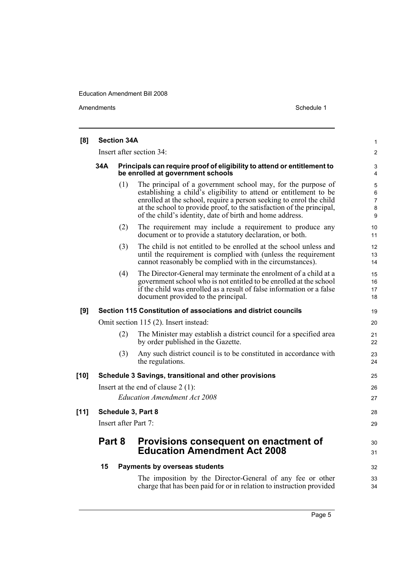Amendments Schedule 1

| [8]    | <b>Section 34A</b>                                                                                                  |                                                                                                                                                                                                                                                                                                                                               | $\mathbf{1}$                       |
|--------|---------------------------------------------------------------------------------------------------------------------|-----------------------------------------------------------------------------------------------------------------------------------------------------------------------------------------------------------------------------------------------------------------------------------------------------------------------------------------------|------------------------------------|
|        |                                                                                                                     | Insert after section 34:                                                                                                                                                                                                                                                                                                                      | $\overline{2}$                     |
|        | 34A<br>Principals can require proof of eligibility to attend or entitlement to<br>be enrolled at government schools |                                                                                                                                                                                                                                                                                                                                               |                                    |
|        | (1)                                                                                                                 | The principal of a government school may, for the purpose of<br>establishing a child's eligibility to attend or entitlement to be<br>enrolled at the school, require a person seeking to enrol the child<br>at the school to provide proof, to the satisfaction of the principal,<br>of the child's identity, date of birth and home address. | 5<br>6<br>$\overline{7}$<br>8<br>9 |
|        | (2)                                                                                                                 | The requirement may include a requirement to produce any<br>document or to provide a statutory declaration, or both.                                                                                                                                                                                                                          | 10<br>11                           |
|        | (3)                                                                                                                 | The child is not entitled to be enrolled at the school unless and<br>until the requirement is complied with (unless the requirement<br>cannot reasonably be complied with in the circumstances).                                                                                                                                              | 12<br>13<br>14                     |
|        | (4)                                                                                                                 | The Director-General may terminate the enrolment of a child at a<br>government school who is not entitled to be enrolled at the school<br>if the child was enrolled as a result of false information or a false<br>document provided to the principal.                                                                                        | 15<br>16<br>17<br>18               |
| [9]    |                                                                                                                     | Section 115 Constitution of associations and district councils                                                                                                                                                                                                                                                                                | 19                                 |
|        | Omit section 115 (2). Insert instead:                                                                               |                                                                                                                                                                                                                                                                                                                                               |                                    |
|        | (2)                                                                                                                 | The Minister may establish a district council for a specified area<br>by order published in the Gazette.                                                                                                                                                                                                                                      | 21<br>22                           |
|        | (3)                                                                                                                 | Any such district council is to be constituted in accordance with<br>the regulations.                                                                                                                                                                                                                                                         | 23<br>24                           |
| [10]   |                                                                                                                     | Schedule 3 Savings, transitional and other provisions                                                                                                                                                                                                                                                                                         | 25                                 |
|        |                                                                                                                     | Insert at the end of clause $2(1)$ :                                                                                                                                                                                                                                                                                                          | 26                                 |
|        |                                                                                                                     | <b>Education Amendment Act 2008</b>                                                                                                                                                                                                                                                                                                           | 27                                 |
| $[11]$ | Schedule 3, Part 8                                                                                                  |                                                                                                                                                                                                                                                                                                                                               |                                    |
|        | Insert after Part 7:                                                                                                |                                                                                                                                                                                                                                                                                                                                               |                                    |
|        | Part 8                                                                                                              | Provisions consequent on enactment of<br><b>Education Amendment Act 2008</b>                                                                                                                                                                                                                                                                  | 30<br>31                           |
|        | 15                                                                                                                  | Payments by overseas students                                                                                                                                                                                                                                                                                                                 | 32                                 |
|        |                                                                                                                     | The imposition by the Director-General of any fee or other<br>charge that has been paid for or in relation to instruction provided                                                                                                                                                                                                            | 33<br>34                           |

Page 5